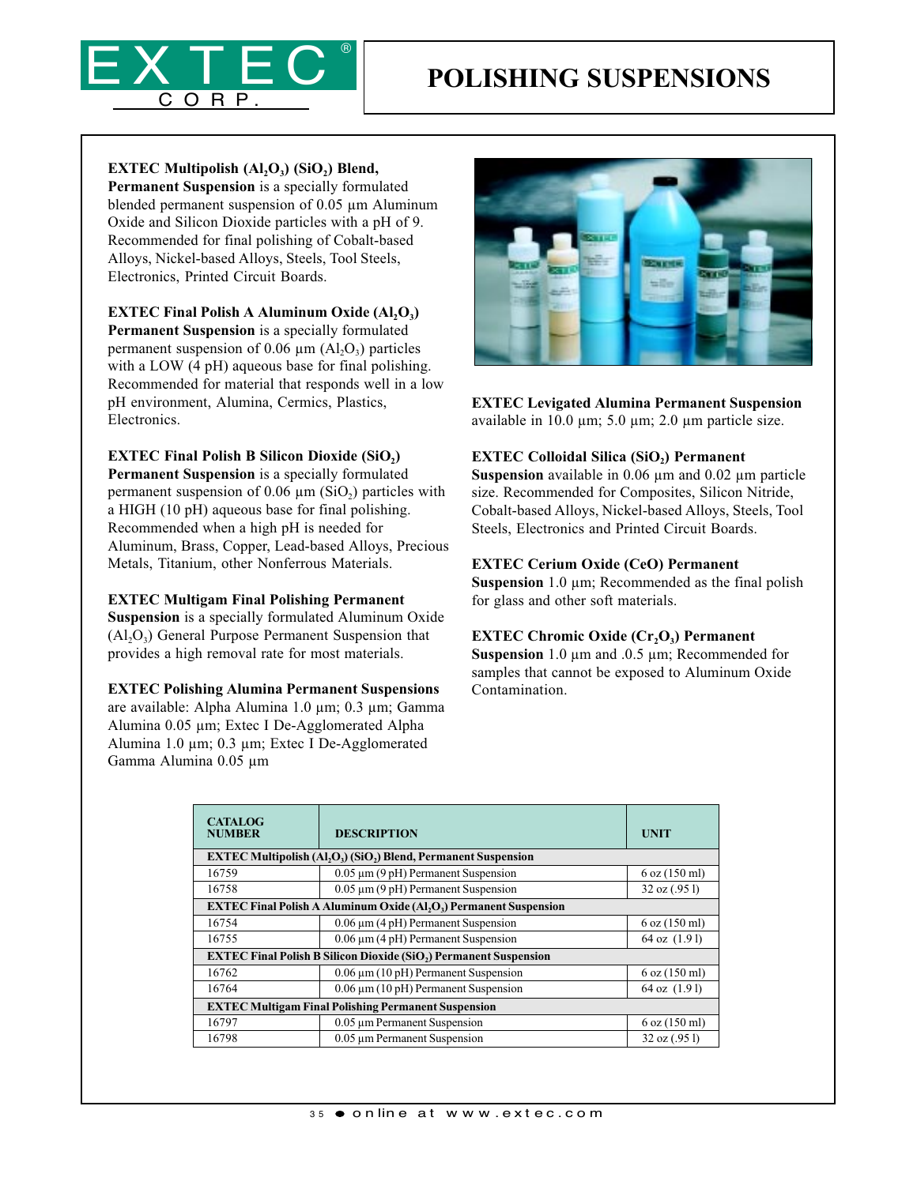

EXTEC Multipolish  $(Al, O_3)$  (SiO<sub>2</sub>) Blend,

Permanent Suspension is a specially formulated blended permanent suspension of 0.05 µm Aluminum Oxide and Silicon Dioxide particles with a pH of 9. Recommended for final polishing of Cobalt-based Alloys, Nickel-based Alloys, Steels, Tool Steels, Electronics, Printed Circuit Boards.

EXTEC Final Polish A Aluminum Oxide  $(Al_2O_3)$ Permanent Suspension is a specially formulated permanent suspension of 0.06  $\mu$ m (Al<sub>2</sub>O<sub>3</sub>) particles with a LOW (4 pH) aqueous base for final polishing. Recommended for material that responds well in a low pH environment, Alumina, Cermics, Plastics, Electronics.

#### **EXTEC Final Polish B Silicon Dioxide (SiO2)**

Permanent Suspension is a specially formulated permanent suspension of  $0.06 \mu m$  (SiO<sub>2</sub>) particles with a HIGH (10 pH) aqueous base for final polishing. Recommended when a high pH is needed for Aluminum, Brass, Copper, Lead-based Alloys, Precious Metals, Titanium, other Nonferrous Materials.

EXTEC Multigam Final Polishing Permanent

Suspension is a specially formulated Aluminum Oxide  $(A<sub>1</sub>, O<sub>3</sub>)$  General Purpose Permanent Suspension that provides a high removal rate for most materials.

## EXTEC Polishing Alumina Permanent Suspensions

are available: Alpha Alumina 1.0 µm; 0.3 µm; Gamma Alumina 0.05 µm; Extec I De-Agglomerated Alpha Alumina 1.0 µm; 0.3 µm; Extec I De-Agglomerated Gamma Alumina 0.05 µm



EXTEC Levigated Alumina Permanent Suspension available in 10.0  $\mu$ m; 5.0  $\mu$ m; 2.0  $\mu$ m particle size.

## EXTEC Colloidal Silica (SiO<sub>2</sub>) Permanent

Suspension available in 0.06  $\mu$ m and 0.02  $\mu$ m particle size. Recommended for Composites, Silicon Nitride, Cobalt-based Alloys, Nickel-based Alloys, Steels, Tool Steels, Electronics and Printed Circuit Boards.

#### EXTEC Cerium Oxide (CeO) Permanent

Suspension  $1.0 \mu m$ ; Recommended as the final polish for glass and other soft materials.

#### EXTEC Chromic Oxide  $(Cr, O<sub>3</sub>)$  Permanent

Suspension 1.0 µm and .0.5 µm; Recommended for samples that cannot be exposed to Aluminum Oxide Contamination.

| <b>CATALOG</b><br><b>NUMBER</b>                                                                      | <b>DESCRIPTION</b>                          | <b>UNIT</b>       |  |
|------------------------------------------------------------------------------------------------------|---------------------------------------------|-------------------|--|
| <b>EXTEC Multipolish (Al<sub>2</sub>O<sub>3</sub>) (SiO<sub>2</sub>) Blend, Permanent Suspension</b> |                                             |                   |  |
| 16759                                                                                                | $0.05 \mu m$ (9 pH) Permanent Suspension    | $6$ oz $(150$ ml) |  |
| 16758                                                                                                | $0.05 \mu m$ (9 pH) Permanent Suspension    | 32 oz (.951)      |  |
| <b>EXTEC Final Polish A Aluminum Oxide (Al,O,) Permanent Suspension</b>                              |                                             |                   |  |
| 16754                                                                                                | $0.06 \mu m$ (4 pH) Permanent Suspension    | $6$ oz $(150$ ml) |  |
| 16755                                                                                                | $0.06 \mu m$ (4 pH) Permanent Suspension    | $64$ oz $(1.91)$  |  |
| <b>EXTEC Final Polish B Silicon Dioxide (SiO2) Permanent Suspension</b>                              |                                             |                   |  |
| 16762                                                                                                | $0.06 \,\mu m$ (10 pH) Permanent Suspension | $6$ oz $(150$ ml) |  |
| 16764                                                                                                | $0.06 \mu m$ (10 pH) Permanent Suspension   | 64 oz (1.91)      |  |
| <b>EXTEC Multigam Final Polishing Permanent Suspension</b>                                           |                                             |                   |  |
| 16797                                                                                                | 0.05 um Permanent Suspension                | $6$ oz $(150$ ml) |  |
| 16798                                                                                                | 0.05 um Permanent Suspension                | 32 oz (.951)      |  |